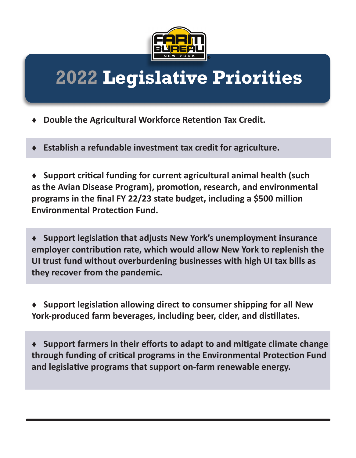

## **2022 Legislative Priorities**

- **Double the Agricultural Workforce Retention Tax Credit.**
- **Establish a refundable investment tax credit for agriculture.**

**Support critical funding for current agricultural animal health (such** as the Avian Disease Program), promotion, research, and environmental programs in the final FY 22/23 state budget, including a \$500 million **Environmental Protection Fund.** 

◆ Support legislation that adjusts New York's unemployment insurance employer contribution rate, which would allow New York to replenish the **UI trust fund without overburdening businesses with high UI tax bills as they recover from the pandemic.**

◆ Support legislation allowing direct to consumer shipping for all New York-produced farm beverages, including beer, cider, and distillates.

◆ Support farmers in their efforts to adapt to and mitigate climate change through funding of critical programs in the Environmental Protection Fund and legislative programs that support on-farm renewable energy.